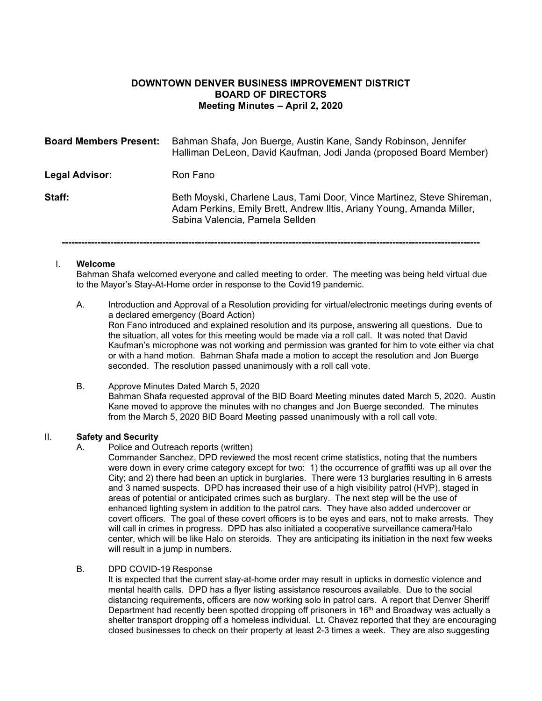## **DOWNTOWN DENVER BUSINESS IMPROVEMENT DISTRICT BOARD OF DIRECTORS Meeting Minutes – April 2, 2020**

| <b>Board Members Present:</b> | Bahman Shafa, Jon Buerge, Austin Kane, Sandy Robinson, Jennifer<br>Halliman DeLeon, David Kaufman, Jodi Janda (proposed Board Member)                                              |
|-------------------------------|------------------------------------------------------------------------------------------------------------------------------------------------------------------------------------|
| Legal Advisor:                | Ron Fano                                                                                                                                                                           |
| Staff:                        | Beth Moyski, Charlene Laus, Tami Door, Vince Martinez, Steve Shireman,<br>Adam Perkins, Emily Brett, Andrew Iltis, Ariany Young, Amanda Miller,<br>Sabina Valencia, Pamela Sellden |
|                               |                                                                                                                                                                                    |

## I. **Welcome**

Bahman Shafa welcomed everyone and called meeting to order. The meeting was being held virtual due to the Mayor's Stay-At-Home order in response to the Covid19 pandemic.

- A. Introduction and Approval of a Resolution providing for virtual/electronic meetings during events of a declared emergency (Board Action) Ron Fano introduced and explained resolution and its purpose, answering all questions. Due to the situation, all votes for this meeting would be made via a roll call. It was noted that David Kaufman's microphone was not working and permission was granted for him to vote either via chat or with a hand motion. Bahman Shafa made a motion to accept the resolution and Jon Buerge seconded. The resolution passed unanimously with a roll call vote.
- B. Approve Minutes Dated March 5, 2020 Bahman Shafa requested approval of the BID Board Meeting minutes dated March 5, 2020. Austin Kane moved to approve the minutes with no changes and Jon Buerge seconded. The minutes from the March 5, 2020 BID Board Meeting passed unanimously with a roll call vote.

# II. **Safety and Security**

Police and Outreach reports (written)

Commander Sanchez, DPD reviewed the most recent crime statistics, noting that the numbers were down in every crime category except for two: 1) the occurrence of graffiti was up all over the City; and 2) there had been an uptick in burglaries. There were 13 burglaries resulting in 6 arrests and 3 named suspects. DPD has increased their use of a high visibility patrol (HVP), staged in areas of potential or anticipated crimes such as burglary. The next step will be the use of enhanced lighting system in addition to the patrol cars. They have also added undercover or covert officers. The goal of these covert officers is to be eyes and ears, not to make arrests. They will call in crimes in progress. DPD has also initiated a cooperative surveillance camera/Halo center, which will be like Halo on steroids. They are anticipating its initiation in the next few weeks will result in a jump in numbers.

## B. DPD COVID-19 Response

It is expected that the current stay-at-home order may result in upticks in domestic violence and mental health calls. DPD has a flyer listing assistance resources available. Due to the social distancing requirements, officers are now working solo in patrol cars. A report that Denver Sheriff Department had recently been spotted dropping off prisoners in 16<sup>th</sup> and Broadway was actually a shelter transport dropping off a homeless individual. Lt. Chavez reported that they are encouraging closed businesses to check on their property at least 2-3 times a week. They are also suggesting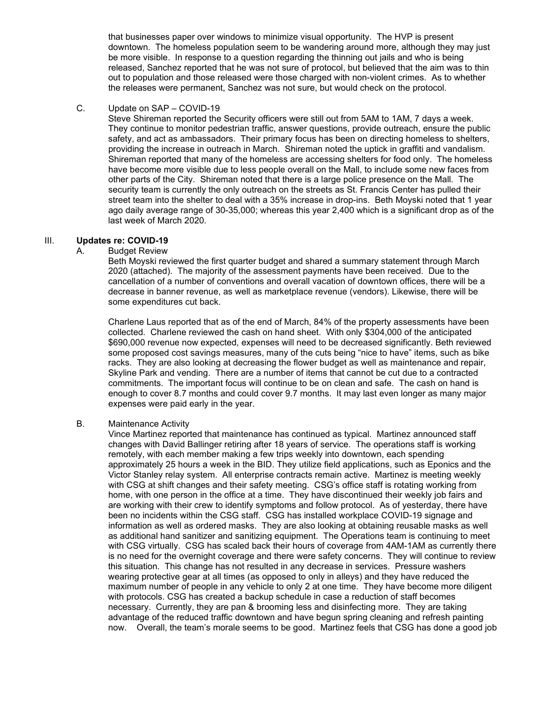that businesses paper over windows to minimize visual opportunity. The HVP is present downtown. The homeless population seem to be wandering around more, although they may just be more visible. In response to a question regarding the thinning out jails and who is being released, Sanchez reported that he was not sure of protocol, but believed that the aim was to thin out to population and those released were those charged with non-violent crimes. As to whether the releases were permanent, Sanchez was not sure, but would check on the protocol.

C. Update on SAP – COVID-19

Steve Shireman reported the Security officers were still out from 5AM to 1AM, 7 days a week. They continue to monitor pedestrian traffic, answer questions, provide outreach, ensure the public safety, and act as ambassadors. Their primary focus has been on directing homeless to shelters, providing the increase in outreach in March. Shireman noted the uptick in graffiti and vandalism. Shireman reported that many of the homeless are accessing shelters for food only. The homeless have become more visible due to less people overall on the Mall, to include some new faces from other parts of the City. Shireman noted that there is a large police presence on the Mall. The security team is currently the only outreach on the streets as St. Francis Center has pulled their street team into the shelter to deal with a 35% increase in drop-ins. Beth Moyski noted that 1 year ago daily average range of 30-35,000; whereas this year 2,400 which is a significant drop as of the last week of March 2020.

## III. **Updates re: COVID-19**

## A. Budget Review

Beth Moyski reviewed the first quarter budget and shared a summary statement through March 2020 (attached). The majority of the assessment payments have been received. Due to the cancellation of a number of conventions and overall vacation of downtown offices, there will be a decrease in banner revenue, as well as marketplace revenue (vendors). Likewise, there will be some expenditures cut back.

Charlene Laus reported that as of the end of March, 84% of the property assessments have been collected. Charlene reviewed the cash on hand sheet. With only \$304,000 of the anticipated \$690,000 revenue now expected, expenses will need to be decreased significantly. Beth reviewed some proposed cost savings measures, many of the cuts being "nice to have" items, such as bike racks. They are also looking at decreasing the flower budget as well as maintenance and repair, Skyline Park and vending. There are a number of items that cannot be cut due to a contracted commitments. The important focus will continue to be on clean and safe. The cash on hand is enough to cover 8.7 months and could cover 9.7 months. It may last even longer as many major expenses were paid early in the year.

### B. Maintenance Activity

Vince Martinez reported that maintenance has continued as typical. Martinez announced staff changes with David Ballinger retiring after 18 years of service. The operations staff is working remotely, with each member making a few trips weekly into downtown, each spending approximately 25 hours a week in the BID. They utilize field applications, such as Eponics and the Victor Stanley relay system. All enterprise contracts remain active. Martinez is meeting weekly with CSG at shift changes and their safety meeting. CSG's office staff is rotating working from home, with one person in the office at a time. They have discontinued their weekly job fairs and are working with their crew to identify symptoms and follow protocol. As of yesterday, there have been no incidents within the CSG staff. CSG has installed workplace COVID-19 signage and information as well as ordered masks. They are also looking at obtaining reusable masks as well as additional hand sanitizer and sanitizing equipment. The Operations team is continuing to meet with CSG virtually. CSG has scaled back their hours of coverage from 4AM-1AM as currently there is no need for the overnight coverage and there were safety concerns. They will continue to review this situation. This change has not resulted in any decrease in services. Pressure washers wearing protective gear at all times (as opposed to only in alleys) and they have reduced the maximum number of people in any vehicle to only 2 at one time. They have become more diligent with protocols. CSG has created a backup schedule in case a reduction of staff becomes necessary. Currently, they are pan & brooming less and disinfecting more. They are taking advantage of the reduced traffic downtown and have begun spring cleaning and refresh painting now. Overall, the team's morale seems to be good. Martinez feels that CSG has done a good job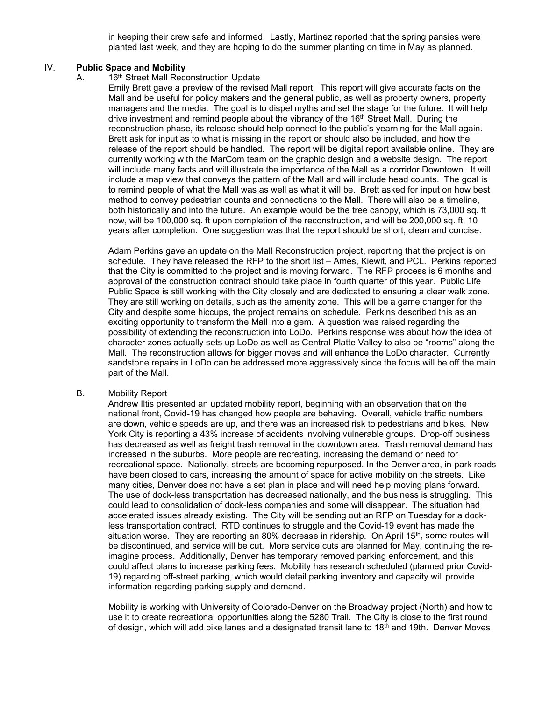in keeping their crew safe and informed. Lastly, Martinez reported that the spring pansies were planted last week, and they are hoping to do the summer planting on time in May as planned.

### IV. **Public Space and Mobility**

## A. 16<sup>th</sup> Street Mall Reconstruction Update

Emily Brett gave a preview of the revised Mall report. This report will give accurate facts on the Mall and be useful for policy makers and the general public, as well as property owners, property managers and the media. The goal is to dispel myths and set the stage for the future. It will help drive investment and remind people about the vibrancy of the 16<sup>th</sup> Street Mall. During the reconstruction phase, its release should help connect to the public's yearning for the Mall again. Brett ask for input as to what is missing in the report or should also be included, and how the release of the report should be handled. The report will be digital report available online. They are currently working with the MarCom team on the graphic design and a website design. The report will include many facts and will illustrate the importance of the Mall as a corridor Downtown. It will include a map view that conveys the pattern of the Mall and will include head counts. The goal is to remind people of what the Mall was as well as what it will be. Brett asked for input on how best method to convey pedestrian counts and connections to the Mall. There will also be a timeline, both historically and into the future. An example would be the tree canopy, which is 73,000 sq. ft now, will be 100,000 sq. ft upon completion of the reconstruction, and will be 200,000 sq. ft. 10 years after completion. One suggestion was that the report should be short, clean and concise.

Adam Perkins gave an update on the Mall Reconstruction project, reporting that the project is on schedule. They have released the RFP to the short list – Ames, Kiewit, and PCL. Perkins reported that the City is committed to the project and is moving forward. The RFP process is 6 months and approval of the construction contract should take place in fourth quarter of this year. Public Life Public Space is still working with the City closely and are dedicated to ensuring a clear walk zone. They are still working on details, such as the amenity zone. This will be a game changer for the City and despite some hiccups, the project remains on schedule. Perkins described this as an exciting opportunity to transform the Mall into a gem. A question was raised regarding the possibility of extending the reconstruction into LoDo. Perkins response was about how the idea of character zones actually sets up LoDo as well as Central Platte Valley to also be "rooms" along the Mall. The reconstruction allows for bigger moves and will enhance the LoDo character. Currently sandstone repairs in LoDo can be addressed more aggressively since the focus will be off the main part of the Mall.

### B. Mobility Report

Andrew Iltis presented an updated mobility report, beginning with an observation that on the national front, Covid-19 has changed how people are behaving. Overall, vehicle traffic numbers are down, vehicle speeds are up, and there was an increased risk to pedestrians and bikes. New York City is reporting a 43% increase of accidents involving vulnerable groups. Drop-off business has decreased as well as freight trash removal in the downtown area. Trash removal demand has increased in the suburbs. More people are recreating, increasing the demand or need for recreational space. Nationally, streets are becoming repurposed. In the Denver area, in-park roads have been closed to cars, increasing the amount of space for active mobility on the streets. Like many cities, Denver does not have a set plan in place and will need help moving plans forward. The use of dock-less transportation has decreased nationally, and the business is struggling. This could lead to consolidation of dock-less companies and some will disappear. The situation had accelerated issues already existing. The City will be sending out an RFP on Tuesday for a dockless transportation contract. RTD continues to struggle and the Covid-19 event has made the situation worse. They are reporting an  $80\%$  decrease in ridership. On April  $15<sup>th</sup>$ , some routes will be discontinued, and service will be cut. More service cuts are planned for May, continuing the reimagine process. Additionally, Denver has temporary removed parking enforcement, and this could affect plans to increase parking fees. Mobility has research scheduled (planned prior Covid-19) regarding off-street parking, which would detail parking inventory and capacity will provide information regarding parking supply and demand.

Mobility is working with University of Colorado-Denver on the Broadway project (North) and how to use it to create recreational opportunities along the 5280 Trail. The City is close to the first round of design, which will add bike lanes and a designated transit lane to 18<sup>th</sup> and 19th. Denver Moves